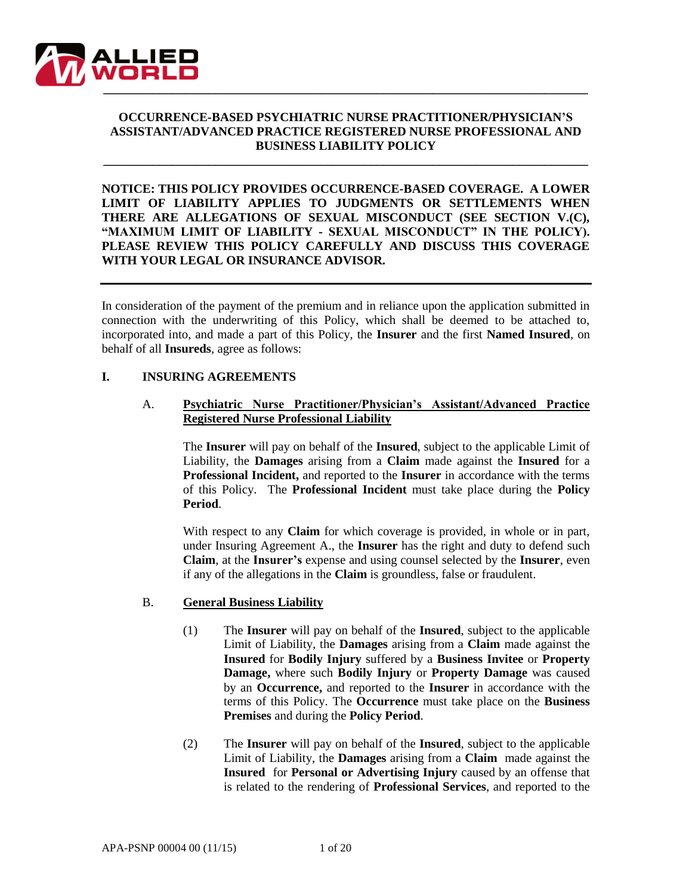

# **OCCURRENCE-BASED PSYCHIATRIC NURSE PRACTITIONER/PHYSICIAN'S ASSISTANT/ADVANCED PRACTICE REGISTERED NURSE PROFESSIONAL AND BUSINESS LIABILITY POLICY**

**\_\_\_\_\_\_\_\_\_\_\_\_\_\_\_\_\_\_\_\_\_\_\_\_\_\_\_\_\_\_\_\_\_\_\_\_\_\_\_\_\_\_\_\_\_\_\_\_\_\_\_\_\_\_\_\_\_\_\_\_\_\_\_\_\_\_\_\_\_\_\_\_\_\_\_\_\_\_**

**NOTICE: THIS POLICY PROVIDES OCCURRENCE-BASED COVERAGE. A LOWER LIMIT OF LIABILITY APPLIES TO JUDGMENTS OR SETTLEMENTS WHEN THERE ARE ALLEGATIONS OF SEXUAL MISCONDUCT (SEE SECTION V.(C), "MAXIMUM LIMIT OF LIABILITY - SEXUAL MISCONDUCT" IN THE POLICY). PLEASE REVIEW THIS POLICY CAREFULLY AND DISCUSS THIS COVERAGE WITH YOUR LEGAL OR INSURANCE ADVISOR.**

In consideration of the payment of the premium and in reliance upon the application submitted in connection with the underwriting of this Policy, which shall be deemed to be attached to, incorporated into, and made a part of this Policy, the **Insurer** and the first **Named Insured**, on behalf of all **Insureds**, agree as follows:

#### **I. INSURING AGREEMENTS**

#### A. **Psychiatric Nurse Practitioner/Physician's Assistant/Advanced Practice Registered Nurse Professional Liability**

The **Insurer** will pay on behalf of the **Insured**, subject to the applicable Limit of Liability, the **Damages** arising from a **Claim** made against the **Insured** for a **Professional Incident,** and reported to the **Insurer** in accordance with the terms of this Policy. The **Professional Incident** must take place during the **Policy Period**.

With respect to any **Claim** for which coverage is provided, in whole or in part, under Insuring Agreement A., the **Insurer** has the right and duty to defend such **Claim**, at the **Insurer's** expense and using counsel selected by the **Insurer**, even if any of the allegations in the **Claim** is groundless, false or fraudulent.

### B. **General Business Liability**

- (1) The **Insurer** will pay on behalf of the **Insured**, subject to the applicable Limit of Liability, the **Damages** arising from a **Claim** made against the **Insured** for **Bodily Injury** suffered by a **Business Invitee** or **Property Damage,** where such **Bodily Injury** or **Property Damage** was caused by an **Occurrence,** and reported to the **Insurer** in accordance with the terms of this Policy. The **Occurrence** must take place on the **Business Premises** and during the **Policy Period**.
- (2) The **Insurer** will pay on behalf of the **Insured**, subject to the applicable Limit of Liability, the **Damages** arising from a **Claim** made against the **Insured** for **Personal or Advertising Injury** caused by an offense that is related to the rendering of **Professional Services**, and reported to the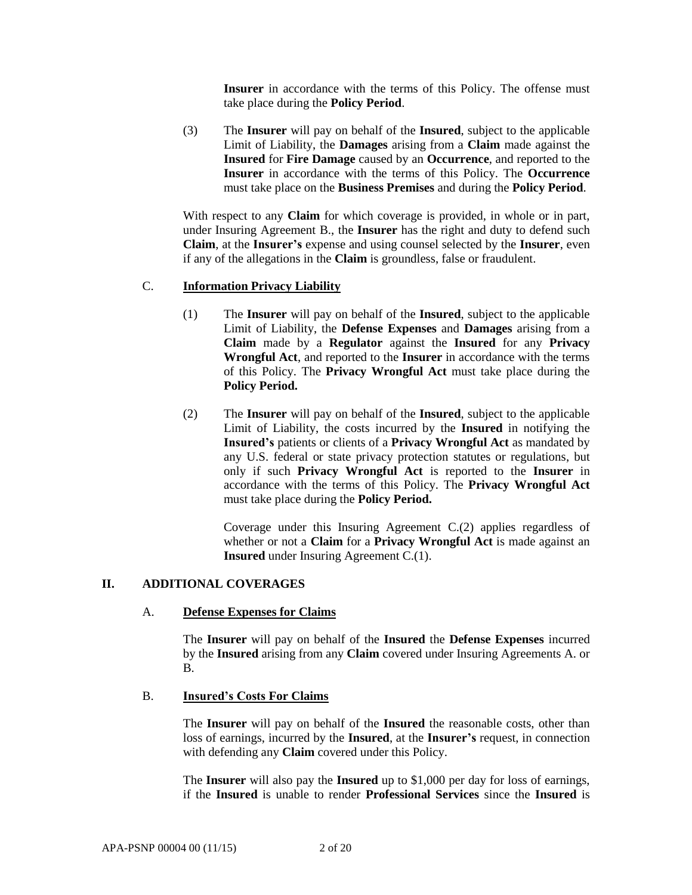**Insurer** in accordance with the terms of this Policy. The offense must take place during the **Policy Period**.

(3) The **Insurer** will pay on behalf of the **Insured**, subject to the applicable Limit of Liability, the **Damages** arising from a **Claim** made against the **Insured** for **Fire Damage** caused by an **Occurrence**, and reported to the **Insurer** in accordance with the terms of this Policy. The **Occurrence** must take place on the **Business Premises** and during the **Policy Period**.

With respect to any **Claim** for which coverage is provided, in whole or in part, under Insuring Agreement B., the **Insurer** has the right and duty to defend such **Claim**, at the **Insurer's** expense and using counsel selected by the **Insurer**, even if any of the allegations in the **Claim** is groundless, false or fraudulent.

# C. **Information Privacy Liability**

- (1) The **Insurer** will pay on behalf of the **Insured**, subject to the applicable Limit of Liability, the **Defense Expenses** and **Damages** arising from a **Claim** made by a **Regulator** against the **Insured** for any **Privacy Wrongful Act**, and reported to the **Insurer** in accordance with the terms of this Policy. The **Privacy Wrongful Act** must take place during the **Policy Period.**
- (2) The **Insurer** will pay on behalf of the **Insured**, subject to the applicable Limit of Liability, the costs incurred by the **Insured** in notifying the **Insured's** patients or clients of a **Privacy Wrongful Act** as mandated by any U.S. federal or state privacy protection statutes or regulations, but only if such **Privacy Wrongful Act** is reported to the **Insurer** in accordance with the terms of this Policy. The **Privacy Wrongful Act**  must take place during the **Policy Period.**

Coverage under this Insuring Agreement C.(2) applies regardless of whether or not a **Claim** for a **Privacy Wrongful Act** is made against an **Insured** under Insuring Agreement C.(1).

### **II. ADDITIONAL COVERAGES**

### A. **Defense Expenses for Claims**

The **Insurer** will pay on behalf of the **Insured** the **Defense Expenses** incurred by the **Insured** arising from any **Claim** covered under Insuring Agreements A. or B.

### B. **Insured's Costs For Claims**

The **Insurer** will pay on behalf of the **Insured** the reasonable costs, other than loss of earnings, incurred by the **Insured**, at the **Insurer's** request, in connection with defending any **Claim** covered under this Policy.

The **Insurer** will also pay the **Insured** up to \$1,000 per day for loss of earnings, if the **Insured** is unable to render **Professional Services** since the **Insured** is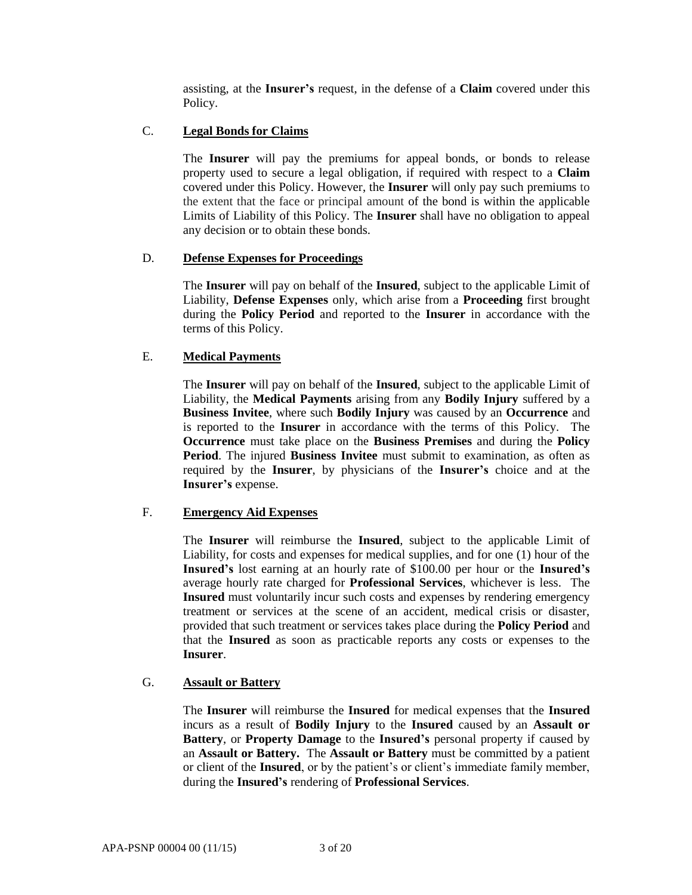assisting, at the **Insurer's** request, in the defense of a **Claim** covered under this Policy.

# C. **Legal Bonds for Claims**

The **Insurer** will pay the premiums for appeal bonds, or bonds to release property used to secure a legal obligation, if required with respect to a **Claim** covered under this Policy. However, the **Insurer** will only pay such premiums to the extent that the face or principal amount of the bond is within the applicable Limits of Liability of this Policy. The **Insurer** shall have no obligation to appeal any decision or to obtain these bonds.

## D. **Defense Expenses for Proceedings**

The **Insurer** will pay on behalf of the **Insured**, subject to the applicable Limit of Liability, **Defense Expenses** only, which arise from a **Proceeding** first brought during the **Policy Period** and reported to the **Insurer** in accordance with the terms of this Policy.

## E. **Medical Payments**

The **Insurer** will pay on behalf of the **Insured**, subject to the applicable Limit of Liability, the **Medical Payments** arising from any **Bodily Injury** suffered by a **Business Invitee**, where such **Bodily Injury** was caused by an **Occurrence** and is reported to the **Insurer** in accordance with the terms of this Policy. The **Occurrence** must take place on the **Business Premises** and during the **Policy Period**. The injured **Business Invitee** must submit to examination, as often as required by the **Insurer**, by physicians of the **Insurer's** choice and at the **Insurer's** expense.

### F. **Emergency Aid Expenses**

The **Insurer** will reimburse the **Insured**, subject to the applicable Limit of Liability, for costs and expenses for medical supplies, and for one (1) hour of the **Insured's** lost earning at an hourly rate of \$100.00 per hour or the **Insured's**  average hourly rate charged for **Professional Services**, whichever is less. The **Insured** must voluntarily incur such costs and expenses by rendering emergency treatment or services at the scene of an accident, medical crisis or disaster, provided that such treatment or services takes place during the **Policy Period** and that the **Insured** as soon as practicable reports any costs or expenses to the **Insurer**.

## G. **Assault or Battery**

The **Insurer** will reimburse the **Insured** for medical expenses that the **Insured** incurs as a result of **Bodily Injury** to the **Insured** caused by an **Assault or Battery**, or **Property Damage** to the **Insured's** personal property if caused by an **Assault or Battery.** The **Assault or Battery** must be committed by a patient or client of the **Insured**, or by the patient's or client's immediate family member, during the **Insured's** rendering of **Professional Services**.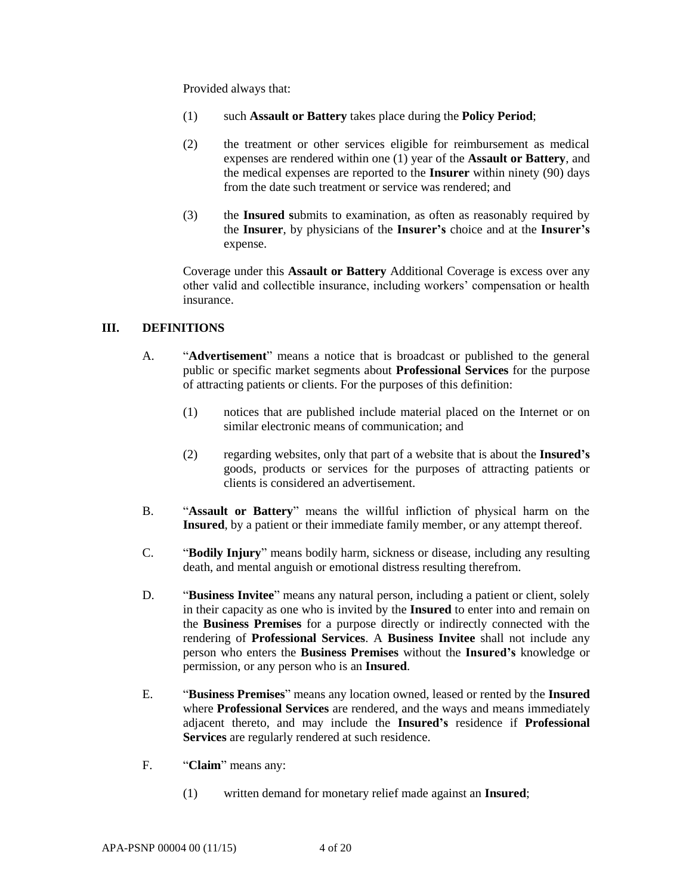Provided always that:

- (1) such **Assault or Battery** takes place during the **Policy Period**;
- (2) the treatment or other services eligible for reimbursement as medical expenses are rendered within one (1) year of the **Assault or Battery**, and the medical expenses are reported to the **Insurer** within ninety (90) days from the date such treatment or service was rendered; and
- (3) the **Insured s**ubmits to examination, as often as reasonably required by the **Insurer**, by physicians of the **Insurer's** choice and at the **Insurer's** expense.

Coverage under this **Assault or Battery** Additional Coverage is excess over any other valid and collectible insurance, including workers' compensation or health insurance.

### **III. DEFINITIONS**

- A. "**Advertisement**" means a notice that is broadcast or published to the general public or specific market segments about **Professional Services** for the purpose of attracting patients or clients. For the purposes of this definition:
	- (1) notices that are published include material placed on the Internet or on similar electronic means of communication; and
	- (2) regarding websites, only that part of a website that is about the **Insured's** goods, products or services for the purposes of attracting patients or clients is considered an advertisement.
- B. "**Assault or Battery**" means the willful infliction of physical harm on the **Insured**, by a patient or their immediate family member, or any attempt thereof.
- C. "**Bodily Injury**" means bodily harm, sickness or disease, including any resulting death, and mental anguish or emotional distress resulting therefrom.
- D. "**Business Invitee**" means any natural person, including a patient or client, solely in their capacity as one who is invited by the **Insured** to enter into and remain on the **Business Premises** for a purpose directly or indirectly connected with the rendering of **Professional Services**. A **Business Invitee** shall not include any person who enters the **Business Premises** without the **Insured's** knowledge or permission, or any person who is an **Insured**.
- E. "**Business Premises**" means any location owned, leased or rented by the **Insured**  where **Professional Services** are rendered, and the ways and means immediately adjacent thereto, and may include the **Insured's** residence if **Professional Services** are regularly rendered at such residence.
- F. "**Claim**" means any:
	- (1) written demand for monetary relief made against an **Insured**;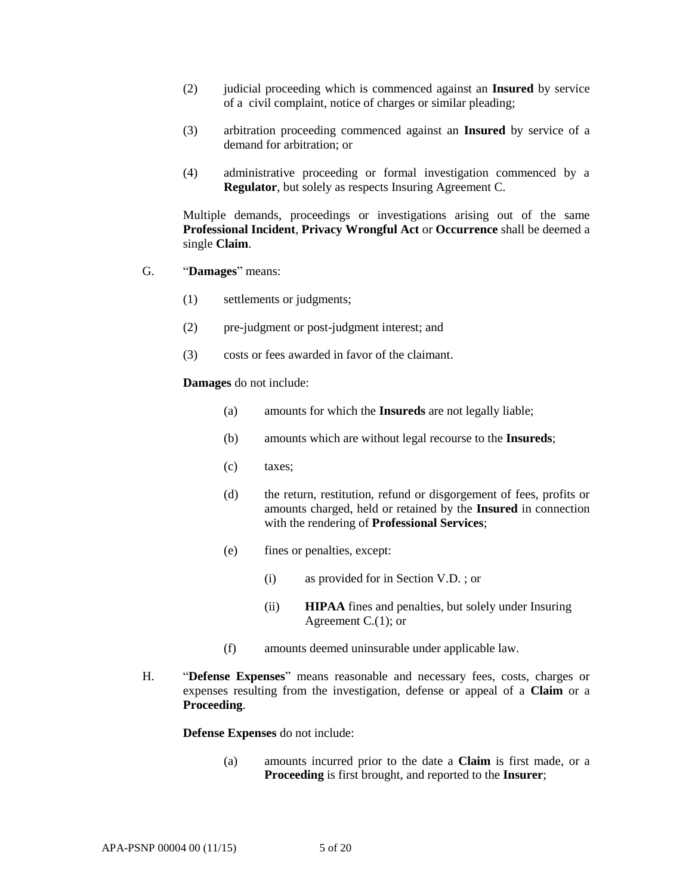- (2) judicial proceeding which is commenced against an **Insured** by service of a civil complaint, notice of charges or similar pleading;
- (3) arbitration proceeding commenced against an **Insured** by service of a demand for arbitration; or
- (4) administrative proceeding or formal investigation commenced by a **Regulator**, but solely as respects Insuring Agreement C.

Multiple demands, proceedings or investigations arising out of the same **Professional Incident**, **Privacy Wrongful Act** or **Occurrence** shall be deemed a single **Claim**.

- G. "**Damages**" means:
	- (1) settlements or judgments;
	- (2) pre-judgment or post-judgment interest; and
	- (3) costs or fees awarded in favor of the claimant.

**Damages** do not include:

- (a) amounts for which the **Insureds** are not legally liable;
- (b) amounts which are without legal recourse to the **Insureds**;
- (c) taxes;
- (d) the return, restitution, refund or disgorgement of fees, profits or amounts charged, held or retained by the **Insured** in connection with the rendering of **Professional Services**;
- (e) fines or penalties, except:
	- (i) as provided for in Section V.D. ; or
	- (ii) **HIPAA** fines and penalties, but solely under Insuring Agreement C.(1); or
- (f) amounts deemed uninsurable under applicable law.
- H. "**Defense Expenses**" means reasonable and necessary fees, costs, charges or expenses resulting from the investigation, defense or appeal of a **Claim** or a **Proceeding**.

**Defense Expenses** do not include:

(a) amounts incurred prior to the date a **Claim** is first made, or a **Proceeding** is first brought, and reported to the **Insurer**;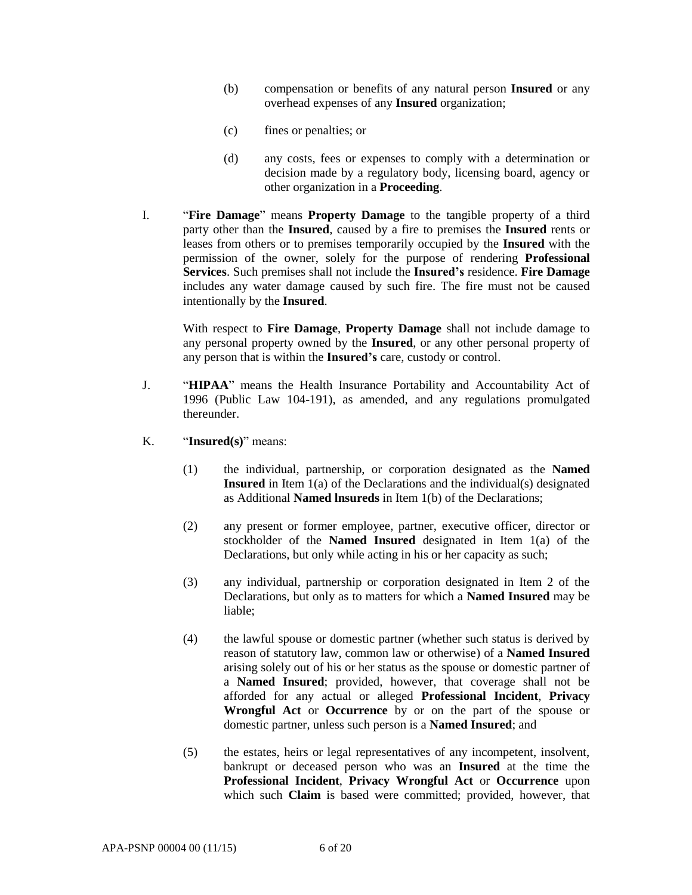- (b) compensation or benefits of any natural person **Insured** or any overhead expenses of any **Insured** organization;
- (c) fines or penalties; or
- (d) any costs, fees or expenses to comply with a determination or decision made by a regulatory body, licensing board, agency or other organization in a **Proceeding**.
- I. "**Fire Damage**" means **Property Damage** to the tangible property of a third party other than the **Insured**, caused by a fire to premises the **Insured** rents or leases from others or to premises temporarily occupied by the **Insured** with the permission of the owner, solely for the purpose of rendering **Professional Services**. Such premises shall not include the **Insured's** residence. **Fire Damage** includes any water damage caused by such fire. The fire must not be caused intentionally by the **Insured**.

With respect to **Fire Damage**, **Property Damage** shall not include damage to any personal property owned by the **Insured**, or any other personal property of any person that is within the **Insured's** care, custody or control.

- J. "**HIPAA**" means the Health Insurance Portability and Accountability Act of 1996 (Public Law 104-191), as amended, and any regulations promulgated thereunder.
- K. "**Insured(s)**" means:
	- (1) the individual, partnership, or corporation designated as the **Named Insured** in Item 1(a) of the Declarations and the individual(s) designated as Additional **Named lnsureds** in Item 1(b) of the Declarations;
	- (2) any present or former employee, partner, executive officer, director or stockholder of the **Named Insured** designated in Item 1(a) of the Declarations, but only while acting in his or her capacity as such;
	- (3) any individual, partnership or corporation designated in Item 2 of the Declarations, but only as to matters for which a **Named Insured** may be liable;
	- (4) the lawful spouse or domestic partner (whether such status is derived by reason of statutory law, common law or otherwise) of a **Named Insured**  arising solely out of his or her status as the spouse or domestic partner of a **Named Insured**; provided, however, that coverage shall not be afforded for any actual or alleged **Professional Incident**, **Privacy Wrongful Act** or **Occurrence** by or on the part of the spouse or domestic partner, unless such person is a **Named Insured**; and
	- (5) the estates, heirs or legal representatives of any incompetent, insolvent, bankrupt or deceased person who was an **Insured** at the time the **Professional Incident**, **Privacy Wrongful Act** or **Occurrence** upon which such **Claim** is based were committed; provided, however, that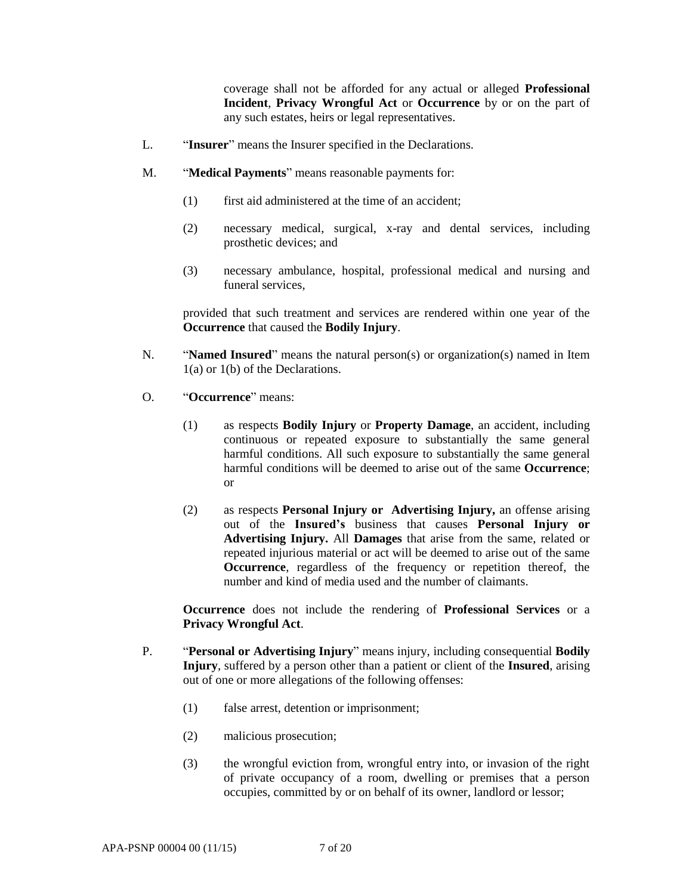coverage shall not be afforded for any actual or alleged **Professional Incident**, **Privacy Wrongful Act** or **Occurrence** by or on the part of any such estates, heirs or legal representatives.

- L. "**Insurer**" means the Insurer specified in the Declarations.
- M. "**Medical Payments**" means reasonable payments for:
	- (1) first aid administered at the time of an accident;
	- (2) necessary medical, surgical, x-ray and dental services, including prosthetic devices; and
	- (3) necessary ambulance, hospital, professional medical and nursing and funeral services,

provided that such treatment and services are rendered within one year of the **Occurrence** that caused the **Bodily Injury**.

- N. "**Named Insured**" means the natural person(s) or organization(s) named in Item 1(a) or 1(b) of the Declarations.
- O. "**Occurrence**" means:
	- (1) as respects **Bodily Injury** or **Property Damage**, an accident, including continuous or repeated exposure to substantially the same general harmful conditions. All such exposure to substantially the same general harmful conditions will be deemed to arise out of the same **Occurrence**; or
	- (2) as respects **Personal Injury or Advertising Injury,** an offense arising out of the **Insured's** business that causes **Personal Injury or Advertising Injury.** All **Damages** that arise from the same, related or repeated injurious material or act will be deemed to arise out of the same **Occurrence**, regardless of the frequency or repetition thereof, the number and kind of media used and the number of claimants.

**Occurrence** does not include the rendering of **Professional Services** or a **Privacy Wrongful Act**.

- P. "**Personal or Advertising Injury**" means injury, including consequential **Bodily Injury**, suffered by a person other than a patient or client of the **Insured**, arising out of one or more allegations of the following offenses:
	- (1) false arrest, detention or imprisonment;
	- (2) malicious prosecution;
	- (3) the wrongful eviction from, wrongful entry into, or invasion of the right of private occupancy of a room, dwelling or premises that a person occupies, committed by or on behalf of its owner, landlord or lessor;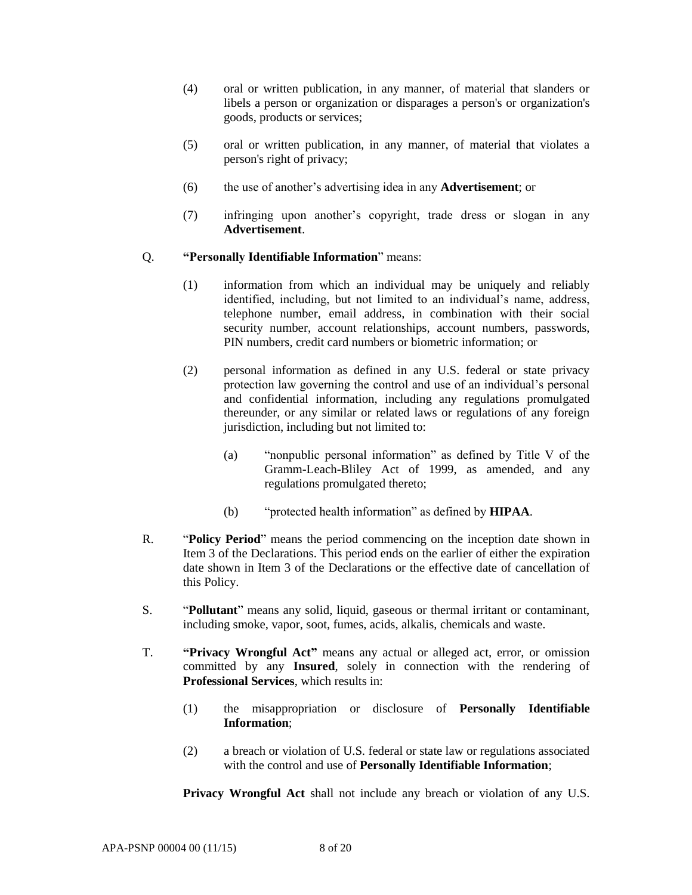- (4) oral or written publication, in any manner, of material that slanders or libels a person or organization or disparages a person's or organization's goods, products or services;
- (5) oral or written publication, in any manner, of material that violates a person's right of privacy;
- (6) the use of another's advertising idea in any **Advertisement**; or
- (7) infringing upon another's copyright, trade dress or slogan in any **Advertisement**.

### Q. **"Personally Identifiable Information**" means:

- (1) information from which an individual may be uniquely and reliably identified, including, but not limited to an individual's name, address, telephone number, email address, in combination with their social security number, account relationships, account numbers, passwords, PIN numbers, credit card numbers or biometric information; or
- (2) personal information as defined in any U.S. federal or state privacy protection law governing the control and use of an individual's personal and confidential information, including any regulations promulgated thereunder, or any similar or related laws or regulations of any foreign jurisdiction, including but not limited to:
	- (a) "nonpublic personal information" as defined by Title V of the Gramm-Leach-Bliley Act of 1999, as amended, and any regulations promulgated thereto;
	- (b) "protected health information" as defined by **HIPAA**.
- R. "**Policy Period**" means the period commencing on the inception date shown in Item 3 of the Declarations. This period ends on the earlier of either the expiration date shown in Item 3 of the Declarations or the effective date of cancellation of this Policy.
- S. "**Pollutant**" means any solid, liquid, gaseous or thermal irritant or contaminant, including smoke, vapor, soot, fumes, acids, alkalis, chemicals and waste.
- T. **"Privacy Wrongful Act"** means any actual or alleged act, error, or omission committed by any **Insured**, solely in connection with the rendering of **Professional Services**, which results in:
	- (1) the misappropriation or disclosure of **Personally Identifiable Information**;
	- (2) a breach or violation of U.S. federal or state law or regulations associated with the control and use of **Personally Identifiable Information**;

**Privacy Wrongful Act** shall not include any breach or violation of any U.S.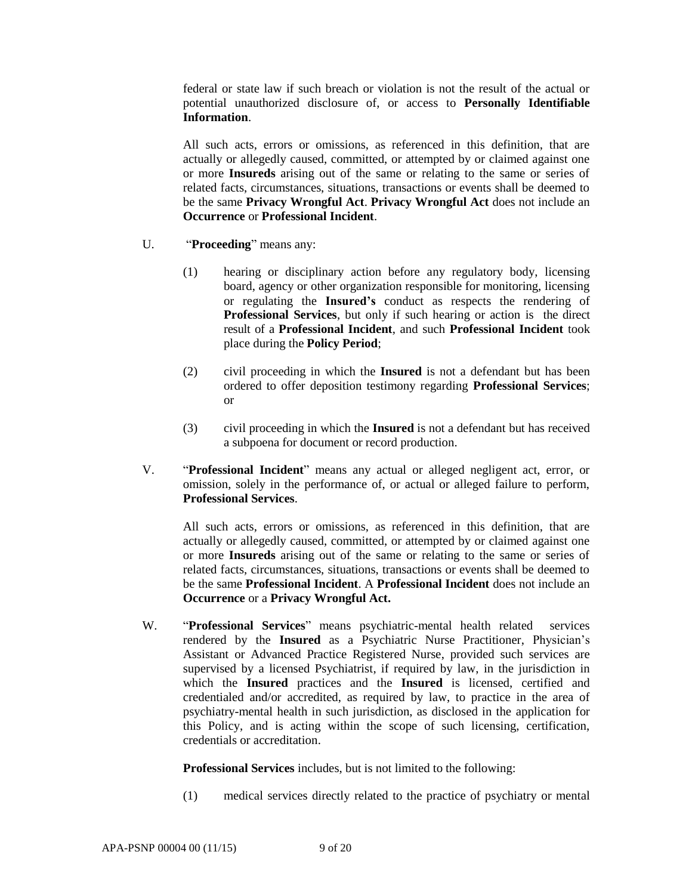federal or state law if such breach or violation is not the result of the actual or potential unauthorized disclosure of, or access to **Personally Identifiable Information**.

All such acts, errors or omissions, as referenced in this definition, that are actually or allegedly caused, committed, or attempted by or claimed against one or more **Insureds** arising out of the same or relating to the same or series of related facts, circumstances, situations, transactions or events shall be deemed to be the same **Privacy Wrongful Act**. **Privacy Wrongful Act** does not include an **Occurrence** or **Professional Incident**.

- U. "**Proceeding**" means any:
	- (1) hearing or disciplinary action before any regulatory body, licensing board, agency or other organization responsible for monitoring, licensing or regulating the **Insured's** conduct as respects the rendering of **Professional Services**, but only if such hearing or action is the direct result of a **Professional Incident**, and such **Professional Incident** took place during the **Policy Period**;
	- (2) civil proceeding in which the **Insured** is not a defendant but has been ordered to offer deposition testimony regarding **Professional Services**; or
	- (3) civil proceeding in which the **Insured** is not a defendant but has received a subpoena for document or record production.
- V. "**Professional Incident**" means any actual or alleged negligent act, error, or omission, solely in the performance of, or actual or alleged failure to perform, **Professional Services**.

All such acts, errors or omissions, as referenced in this definition, that are actually or allegedly caused, committed, or attempted by or claimed against one or more **Insureds** arising out of the same or relating to the same or series of related facts, circumstances, situations, transactions or events shall be deemed to be the same **Professional Incident**. A **Professional Incident** does not include an **Occurrence** or a **Privacy Wrongful Act.**

W. "**Professional Services**" means psychiatric-mental health related services rendered by the **Insured** as a Psychiatric Nurse Practitioner, Physician's Assistant or Advanced Practice Registered Nurse, provided such services are supervised by a licensed Psychiatrist, if required by law, in the jurisdiction in which the **Insured** practices and the **Insured** is licensed, certified and credentialed and/or accredited, as required by law, to practice in the area of psychiatry-mental health in such jurisdiction, as disclosed in the application for this Policy, and is acting within the scope of such licensing, certification, credentials or accreditation.

**Professional Services** includes, but is not limited to the following:

(1) medical services directly related to the practice of psychiatry or mental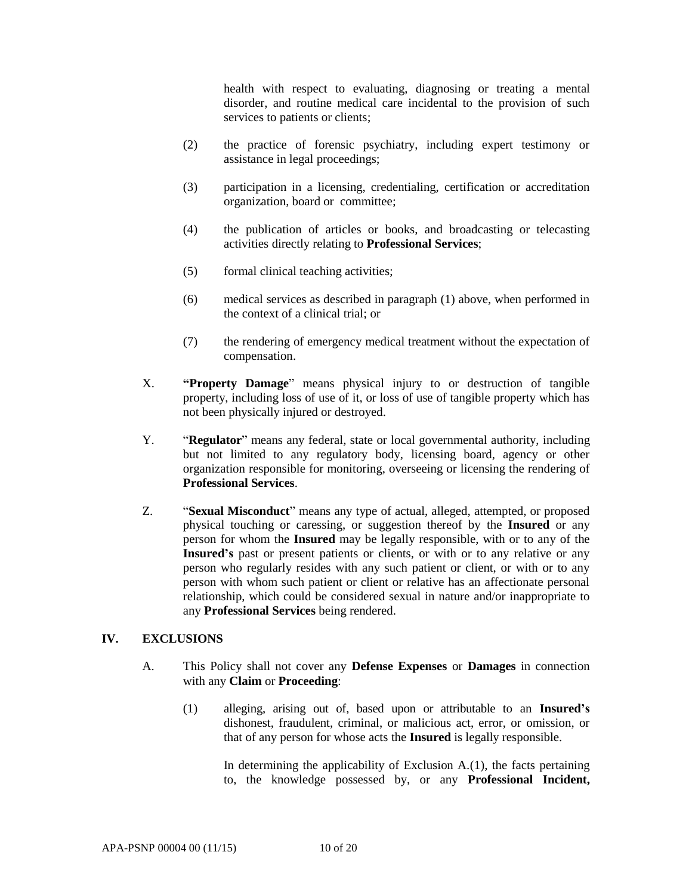health with respect to evaluating, diagnosing or treating a mental disorder, and routine medical care incidental to the provision of such services to patients or clients;

- (2) the practice of forensic psychiatry, including expert testimony or assistance in legal proceedings;
- (3) participation in a licensing, credentialing, certification or accreditation organization, board or committee;
- (4) the publication of articles or books, and broadcasting or telecasting activities directly relating to **Professional Services**;
- (5) formal clinical teaching activities;
- (6) medical services as described in paragraph (1) above, when performed in the context of a clinical trial; or
- (7) the rendering of emergency medical treatment without the expectation of compensation.
- X. **"Property Damage**" means physical injury to or destruction of tangible property, including loss of use of it, or loss of use of tangible property which has not been physically injured or destroyed.
- Y. "**Regulator**" means any federal, state or local governmental authority, including but not limited to any regulatory body, licensing board, agency or other organization responsible for monitoring, overseeing or licensing the rendering of **Professional Services**.
- Z. "**Sexual Misconduct**" means any type of actual, alleged, attempted, or proposed physical touching or caressing, or suggestion thereof by the **Insured** or any person for whom the **Insured** may be legally responsible, with or to any of the **Insured's** past or present patients or clients, or with or to any relative or any person who regularly resides with any such patient or client, or with or to any person with whom such patient or client or relative has an affectionate personal relationship, which could be considered sexual in nature and/or inappropriate to any **Professional Services** being rendered.

### **IV. EXCLUSIONS**

- A. This Policy shall not cover any **Defense Expenses** or **Damages** in connection with any **Claim** or **Proceeding**:
	- (1) alleging, arising out of, based upon or attributable to an **Insured's** dishonest, fraudulent, criminal, or malicious act, error, or omission, or that of any person for whose acts the **Insured** is legally responsible.

In determining the applicability of Exclusion  $A(1)$ , the facts pertaining to, the knowledge possessed by, or any **Professional Incident,**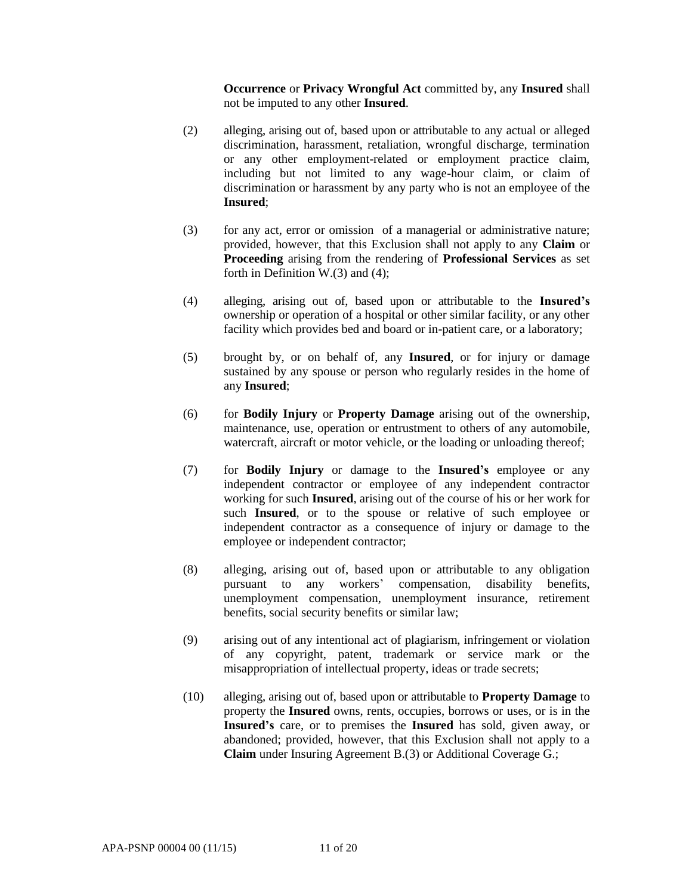**Occurrence** or **Privacy Wrongful Act** committed by, any **Insured** shall not be imputed to any other **Insured**.

- (2) alleging, arising out of, based upon or attributable to any actual or alleged discrimination, harassment, retaliation, wrongful discharge, termination or any other employment-related or employment practice claim, including but not limited to any wage-hour claim, or claim of discrimination or harassment by any party who is not an employee of the **Insured**;
- (3) for any act, error or omission of a managerial or administrative nature; provided, however, that this Exclusion shall not apply to any **Claim** or **Proceeding** arising from the rendering of **Professional Services** as set forth in Definition W.(3) and (4);
- (4) alleging, arising out of, based upon or attributable to the **Insured's** ownership or operation of a hospital or other similar facility, or any other facility which provides bed and board or in-patient care, or a laboratory;
- (5) brought by, or on behalf of, any **Insured**, or for injury or damage sustained by any spouse or person who regularly resides in the home of any **Insured**;
- (6) for **Bodily Injury** or **Property Damage** arising out of the ownership, maintenance, use, operation or entrustment to others of any automobile, watercraft, aircraft or motor vehicle, or the loading or unloading thereof;
- (7) for **Bodily Injury** or damage to the **Insured's** employee or any independent contractor or employee of any independent contractor working for such **Insured**, arising out of the course of his or her work for such **Insured**, or to the spouse or relative of such employee or independent contractor as a consequence of injury or damage to the employee or independent contractor;
- (8) alleging, arising out of, based upon or attributable to any obligation pursuant to any workers' compensation, disability benefits, unemployment compensation, unemployment insurance, retirement benefits, social security benefits or similar law;
- (9) arising out of any intentional act of plagiarism, infringement or violation of any copyright, patent, trademark or service mark or the misappropriation of intellectual property, ideas or trade secrets;
- (10) alleging, arising out of, based upon or attributable to **Property Damage** to property the **Insured** owns, rents, occupies, borrows or uses, or is in the **Insured's** care, or to premises the **Insured** has sold, given away, or abandoned; provided, however, that this Exclusion shall not apply to a **Claim** under Insuring Agreement B.(3) or Additional Coverage G.;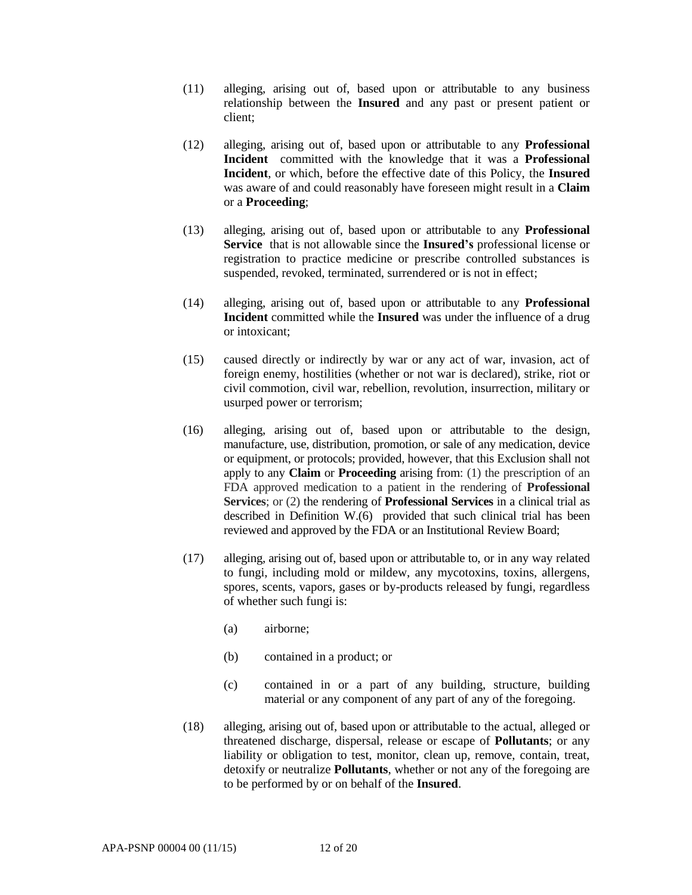- (11) alleging, arising out of, based upon or attributable to any business relationship between the **Insured** and any past or present patient or client;
- (12) alleging, arising out of, based upon or attributable to any **Professional Incident** committed with the knowledge that it was a **Professional Incident**, or which, before the effective date of this Policy, the **Insured** was aware of and could reasonably have foreseen might result in a **Claim** or a **Proceeding**;
- (13) alleging, arising out of, based upon or attributable to any **Professional Service** that is not allowable since the **Insured's** professional license or registration to practice medicine or prescribe controlled substances is suspended, revoked, terminated, surrendered or is not in effect;
- (14) alleging, arising out of, based upon or attributable to any **Professional Incident** committed while the **Insured** was under the influence of a drug or intoxicant;
- (15) caused directly or indirectly by war or any act of war, invasion, act of foreign enemy, hostilities (whether or not war is declared), strike, riot or civil commotion, civil war, rebellion, revolution, insurrection, military or usurped power or terrorism;
- (16) alleging, arising out of, based upon or attributable to the design, manufacture, use, distribution, promotion, or sale of any medication, device or equipment, or protocols; provided, however, that this Exclusion shall not apply to any **Claim** or **Proceeding** arising from: (1) the prescription of an FDA approved medication to a patient in the rendering of **Professional Services**; or (2) the rendering of **Professional Services** in a clinical trial as described in Definition W.(6) provided that such clinical trial has been reviewed and approved by the FDA or an Institutional Review Board;
- (17) alleging, arising out of, based upon or attributable to, or in any way related to fungi, including mold or mildew, any mycotoxins, toxins, allergens, spores, scents, vapors, gases or by-products released by fungi, regardless of whether such fungi is:
	- (a) airborne;
	- (b) contained in a product; or
	- (c) contained in or a part of any building, structure, building material or any component of any part of any of the foregoing.
- (18) alleging, arising out of, based upon or attributable to the actual, alleged or threatened discharge, dispersal, release or escape of **Pollutants**; or any liability or obligation to test, monitor, clean up, remove, contain, treat, detoxify or neutralize **Pollutants**, whether or not any of the foregoing are to be performed by or on behalf of the **Insured**.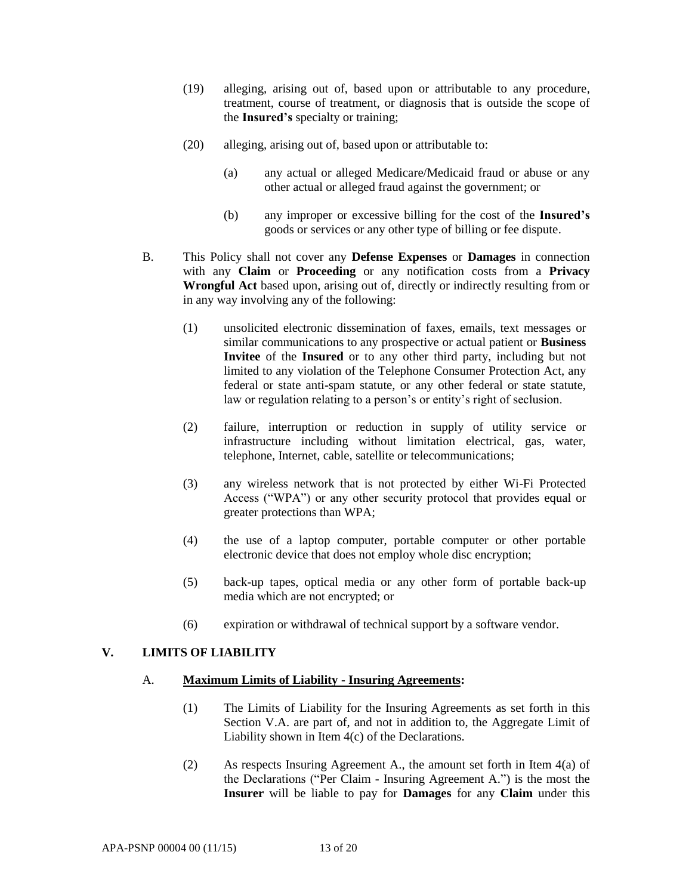- (19) alleging, arising out of, based upon or attributable to any procedure, treatment, course of treatment, or diagnosis that is outside the scope of the **Insured's** specialty or training;
- (20) alleging, arising out of, based upon or attributable to:
	- (a) any actual or alleged Medicare/Medicaid fraud or abuse or any other actual or alleged fraud against the government; or
	- (b) any improper or excessive billing for the cost of the **Insured's** goods or services or any other type of billing or fee dispute.
- B. This Policy shall not cover any **Defense Expenses** or **Damages** in connection with any **Claim** or **Proceeding** or any notification costs from a **Privacy Wrongful Act** based upon, arising out of, directly or indirectly resulting from or in any way involving any of the following:
	- (1) unsolicited electronic dissemination of faxes, emails, text messages or similar communications to any prospective or actual patient or **Business Invitee** of the **Insured** or to any other third party, including but not limited to any violation of the Telephone Consumer Protection Act, any federal or state anti-spam statute, or any other federal or state statute, law or regulation relating to a person's or entity's right of seclusion.
	- (2) failure, interruption or reduction in supply of utility service or infrastructure including without limitation electrical, gas, water, telephone, Internet, cable, satellite or telecommunications;
	- (3) any wireless network that is not protected by either Wi-Fi Protected Access ("WPA") or any other security protocol that provides equal or greater protections than WPA;
	- (4) the use of a laptop computer, portable computer or other portable electronic device that does not employ whole disc encryption;
	- (5) back-up tapes, optical media or any other form of portable back-up media which are not encrypted; or
	- (6) expiration or withdrawal of technical support by a software vendor.

# **V. LIMITS OF LIABILITY**

### A. **Maximum Limits of Liability - Insuring Agreements:**

- (1) The Limits of Liability for the Insuring Agreements as set forth in this Section V.A. are part of, and not in addition to, the Aggregate Limit of Liability shown in Item 4(c) of the Declarations.
- (2) As respects Insuring Agreement A., the amount set forth in Item 4(a) of the Declarations ("Per Claim - Insuring Agreement A.") is the most the **Insurer** will be liable to pay for **Damages** for any **Claim** under this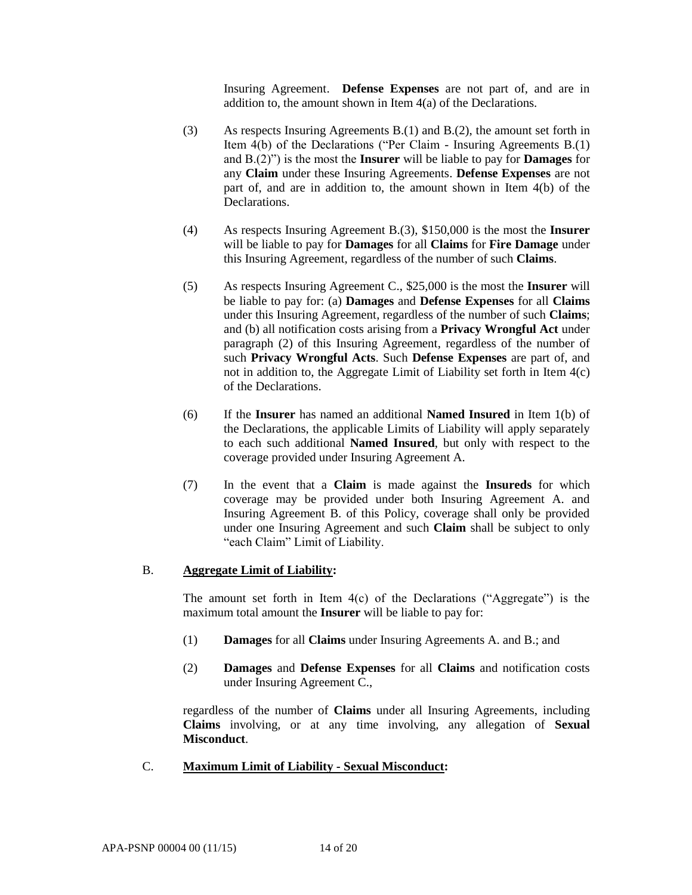Insuring Agreement. **Defense Expenses** are not part of, and are in addition to, the amount shown in Item 4(a) of the Declarations.

- (3) As respects Insuring Agreements B.(1) and B.(2), the amount set forth in Item 4(b) of the Declarations ("Per Claim - Insuring Agreements B.(1) and B.(2)") is the most the **Insurer** will be liable to pay for **Damages** for any **Claim** under these Insuring Agreements. **Defense Expenses** are not part of, and are in addition to, the amount shown in Item 4(b) of the Declarations.
- (4) As respects Insuring Agreement B.(3), \$150,000 is the most the **Insurer**  will be liable to pay for **Damages** for all **Claims** for **Fire Damage** under this Insuring Agreement, regardless of the number of such **Claims**.
- (5) As respects Insuring Agreement C., \$25,000 is the most the **Insurer** will be liable to pay for: (a) **Damages** and **Defense Expenses** for all **Claims**  under this Insuring Agreement, regardless of the number of such **Claims**; and (b) all notification costs arising from a **Privacy Wrongful Act** under paragraph (2) of this Insuring Agreement, regardless of the number of such **Privacy Wrongful Acts**. Such **Defense Expenses** are part of, and not in addition to, the Aggregate Limit of Liability set forth in Item 4(c) of the Declarations.
- (6) If the **Insurer** has named an additional **Named Insured** in Item 1(b) of the Declarations, the applicable Limits of Liability will apply separately to each such additional **Named Insured**, but only with respect to the coverage provided under Insuring Agreement A.
- (7) In the event that a **Claim** is made against the **Insureds** for which coverage may be provided under both Insuring Agreement A. and Insuring Agreement B. of this Policy, coverage shall only be provided under one Insuring Agreement and such **Claim** shall be subject to only "each Claim" Limit of Liability.

#### B. **Aggregate Limit of Liability:**

The amount set forth in Item  $4(c)$  of the Declarations ("Aggregate") is the maximum total amount the **Insurer** will be liable to pay for:

- (1) **Damages** for all **Claims** under Insuring Agreements A. and B.; and
- (2) **Damages** and **Defense Expenses** for all **Claims** and notification costs under Insuring Agreement C.,

regardless of the number of **Claims** under all Insuring Agreements, including **Claims** involving, or at any time involving, any allegation of **Sexual Misconduct**.

C. **Maximum Limit of Liability - Sexual Misconduct:**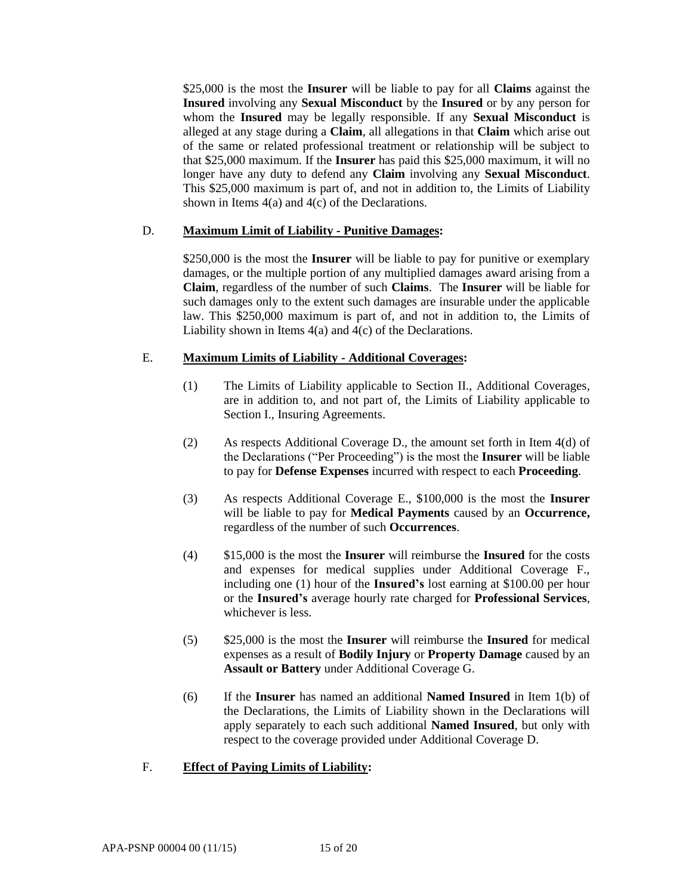\$25,000 is the most the **Insurer** will be liable to pay for all **Claims** against the **Insured** involving any **Sexual Misconduct** by the **Insured** or by any person for whom the **Insured** may be legally responsible. If any **Sexual Misconduct** is alleged at any stage during a **Claim**, all allegations in that **Claim** which arise out of the same or related professional treatment or relationship will be subject to that \$25,000 maximum. If the **Insurer** has paid this \$25,000 maximum, it will no longer have any duty to defend any **Claim** involving any **Sexual Misconduct**. This \$25,000 maximum is part of, and not in addition to, the Limits of Liability shown in Items  $4(a)$  and  $4(c)$  of the Declarations.

### D. **Maximum Limit of Liability - Punitive Damages:**

\$250,000 is the most the **Insurer** will be liable to pay for punitive or exemplary damages, or the multiple portion of any multiplied damages award arising from a **Claim**, regardless of the number of such **Claims**. The **Insurer** will be liable for such damages only to the extent such damages are insurable under the applicable law. This \$250,000 maximum is part of, and not in addition to, the Limits of Liability shown in Items 4(a) and 4(c) of the Declarations.

## E. **Maximum Limits of Liability - Additional Coverages:**

- (1) The Limits of Liability applicable to Section II., Additional Coverages, are in addition to, and not part of, the Limits of Liability applicable to Section I., Insuring Agreements.
- (2) As respects Additional Coverage D., the amount set forth in Item 4(d) of the Declarations ("Per Proceeding") is the most the **Insurer** will be liable to pay for **Defense Expenses** incurred with respect to each **Proceeding**.
- (3) As respects Additional Coverage E., \$100,000 is the most the **Insurer**  will be liable to pay for **Medical Payments** caused by an **Occurrence,**  regardless of the number of such **Occurrences**.
- (4) \$15,000 is the most the **Insurer** will reimburse the **Insured** for the costs and expenses for medical supplies under Additional Coverage F., including one (1) hour of the **Insured's** lost earning at \$100.00 per hour or the **Insured's** average hourly rate charged for **Professional Services**, whichever is less.
- (5) \$25,000 is the most the **Insurer** will reimburse the **Insured** for medical expenses as a result of **Bodily Injury** or **Property Damage** caused by an **Assault or Battery** under Additional Coverage G.
- (6) If the **Insurer** has named an additional **Named Insured** in Item 1(b) of the Declarations, the Limits of Liability shown in the Declarations will apply separately to each such additional **Named Insured**, but only with respect to the coverage provided under Additional Coverage D.

### F. **Effect of Paying Limits of Liability:**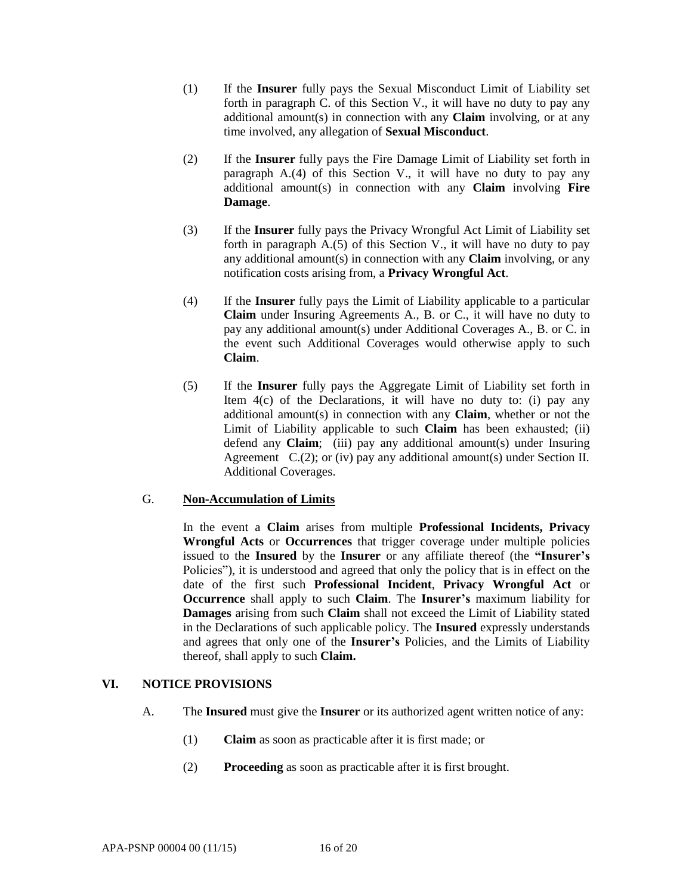- (1) If the **Insurer** fully pays the Sexual Misconduct Limit of Liability set forth in paragraph C. of this Section V., it will have no duty to pay any additional amount(s) in connection with any **Claim** involving, or at any time involved, any allegation of **Sexual Misconduct**.
- (2) If the **Insurer** fully pays the Fire Damage Limit of Liability set forth in paragraph A.(4) of this Section V., it will have no duty to pay any additional amount(s) in connection with any **Claim** involving **Fire Damage**.
- (3) If the **Insurer** fully pays the Privacy Wrongful Act Limit of Liability set forth in paragraph  $A(5)$  of this Section V, it will have no duty to pay any additional amount(s) in connection with any **Claim** involving, or any notification costs arising from, a **Privacy Wrongful Act**.
- (4) If the **Insurer** fully pays the Limit of Liability applicable to a particular **Claim** under Insuring Agreements A., B. or C., it will have no duty to pay any additional amount(s) under Additional Coverages A., B. or C. in the event such Additional Coverages would otherwise apply to such **Claim**.
- (5) If the **Insurer** fully pays the Aggregate Limit of Liability set forth in Item  $4(c)$  of the Declarations, it will have no duty to: (i) pay any additional amount(s) in connection with any **Claim**, whether or not the Limit of Liability applicable to such **Claim** has been exhausted; (ii) defend any **Claim**; (iii) pay any additional amount(s) under Insuring Agreement  $C.(2)$ ; or (iv) pay any additional amount(s) under Section II. Additional Coverages.

### G. **Non-Accumulation of Limits**

In the event a **Claim** arises from multiple **Professional Incidents, Privacy Wrongful Acts** or **Occurrences** that trigger coverage under multiple policies issued to the **Insured** by the **Insurer** or any affiliate thereof (the **"Insurer's**  Policies"), it is understood and agreed that only the policy that is in effect on the date of the first such **Professional Incident**, **Privacy Wrongful Act** or **Occurrence** shall apply to such **Claim**. The **Insurer's** maximum liability for **Damages** arising from such **Claim** shall not exceed the Limit of Liability stated in the Declarations of such applicable policy. The **Insured** expressly understands and agrees that only one of the **Insurer's** Policies, and the Limits of Liability thereof, shall apply to such **Claim.**

# **VI. NOTICE PROVISIONS**

- A. The **Insured** must give the **Insurer** or its authorized agent written notice of any:
	- (1) **Claim** as soon as practicable after it is first made; or
	- (2) **Proceeding** as soon as practicable after it is first brought.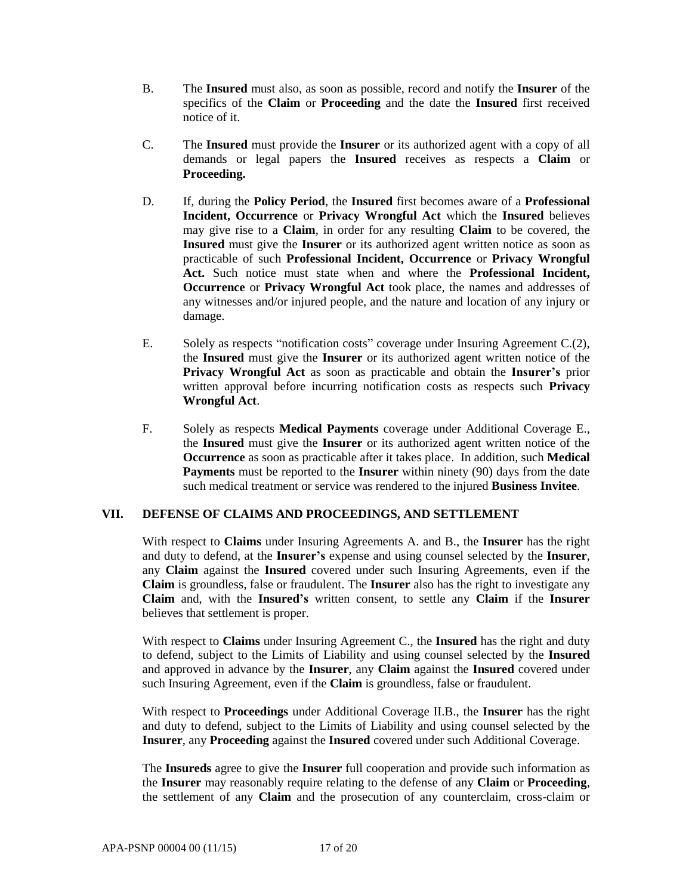- B. The **Insured** must also, as soon as possible, record and notify the **Insurer** of the specifics of the **Claim** or **Proceeding** and the date the **Insured** first received notice of it.
- C. The **Insured** must provide the **Insurer** or its authorized agent with a copy of all demands or legal papers the **Insured** receives as respects a **Claim** or **Proceeding.**
- D. If, during the **Policy Period**, the **Insured** first becomes aware of a **Professional Incident, Occurrence** or **Privacy Wrongful Act** which the **Insured** believes may give rise to a **Claim**, in order for any resulting **Claim** to be covered, the **Insured** must give the **Insurer** or its authorized agent written notice as soon as practicable of such **Professional Incident, Occurrence** or **Privacy Wrongful Act.** Such notice must state when and where the **Professional Incident, Occurrence** or **Privacy Wrongful Act** took place, the names and addresses of any witnesses and/or injured people, and the nature and location of any injury or damage.
- E. Solely as respects "notification costs" coverage under Insuring Agreement C.(2), the **Insured** must give the **Insurer** or its authorized agent written notice of the **Privacy Wrongful Act** as soon as practicable and obtain the **Insurer's** prior written approval before incurring notification costs as respects such **Privacy Wrongful Act**.
- F. Solely as respects **Medical Payments** coverage under Additional Coverage E., the **Insured** must give the **Insurer** or its authorized agent written notice of the **Occurrence** as soon as practicable after it takes place. In addition, such **Medical Payments** must be reported to the **Insurer** within ninety (90) days from the date such medical treatment or service was rendered to the injured **Business Invitee**.

### **VII. DEFENSE OF CLAIMS AND PROCEEDINGS, AND SETTLEMENT**

With respect to **Claims** under Insuring Agreements A. and B., the **Insurer** has the right and duty to defend, at the **Insurer's** expense and using counsel selected by the **Insurer**, any **Claim** against the **Insured** covered under such Insuring Agreements, even if the **Claim** is groundless, false or fraudulent. The **Insurer** also has the right to investigate any **Claim** and, with the **Insured's** written consent, to settle any **Claim** if the **Insurer**  believes that settlement is proper.

With respect to **Claims** under Insuring Agreement C., the **Insured** has the right and duty to defend, subject to the Limits of Liability and using counsel selected by the **Insured** and approved in advance by the **Insurer**, any **Claim** against the **Insured** covered under such Insuring Agreement, even if the **Claim** is groundless, false or fraudulent.

With respect to **Proceedings** under Additional Coverage II.B., the **Insurer** has the right and duty to defend, subject to the Limits of Liability and using counsel selected by the **Insurer**, any **Proceeding** against the **Insured** covered under such Additional Coverage.

The **Insureds** agree to give the **Insurer** full cooperation and provide such information as the **Insurer** may reasonably require relating to the defense of any **Claim** or **Proceeding**, the settlement of any **Claim** and the prosecution of any counterclaim, cross-claim or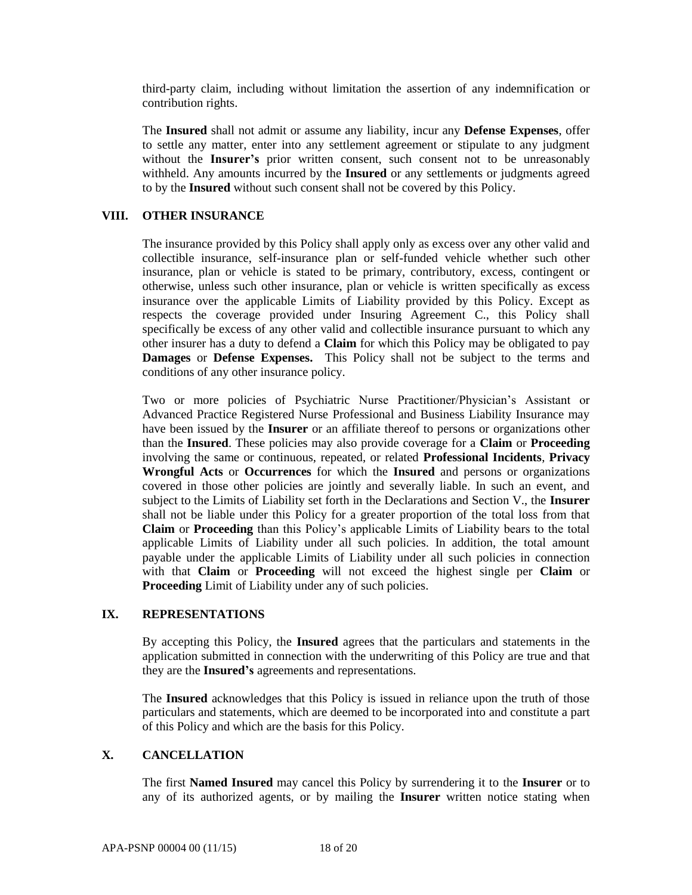third-party claim, including without limitation the assertion of any indemnification or contribution rights.

The **Insured** shall not admit or assume any liability, incur any **Defense Expenses**, offer to settle any matter, enter into any settlement agreement or stipulate to any judgment without the **Insurer's** prior written consent, such consent not to be unreasonably withheld. Any amounts incurred by the **Insured** or any settlements or judgments agreed to by the **Insured** without such consent shall not be covered by this Policy.

### **VIII. OTHER INSURANCE**

The insurance provided by this Policy shall apply only as excess over any other valid and collectible insurance, self-insurance plan or self-funded vehicle whether such other insurance, plan or vehicle is stated to be primary, contributory, excess, contingent or otherwise, unless such other insurance, plan or vehicle is written specifically as excess insurance over the applicable Limits of Liability provided by this Policy. Except as respects the coverage provided under Insuring Agreement C., this Policy shall specifically be excess of any other valid and collectible insurance pursuant to which any other insurer has a duty to defend a **Claim** for which this Policy may be obligated to pay **Damages** or **Defense Expenses.** This Policy shall not be subject to the terms and conditions of any other insurance policy.

Two or more policies of Psychiatric Nurse Practitioner/Physician's Assistant or Advanced Practice Registered Nurse Professional and Business Liability Insurance may have been issued by the **Insurer** or an affiliate thereof to persons or organizations other than the **Insured**. These policies may also provide coverage for a **Claim** or **Proceeding** involving the same or continuous, repeated, or related **Professional Incidents**, **Privacy Wrongful Acts** or **Occurrences** for which the **Insured** and persons or organizations covered in those other policies are jointly and severally liable. In such an event, and subject to the Limits of Liability set forth in the Declarations and Section V., the **Insurer**  shall not be liable under this Policy for a greater proportion of the total loss from that **Claim** or **Proceeding** than this Policy's applicable Limits of Liability bears to the total applicable Limits of Liability under all such policies. In addition, the total amount payable under the applicable Limits of Liability under all such policies in connection with that **Claim** or **Proceeding** will not exceed the highest single per **Claim** or **Proceeding** Limit of Liability under any of such policies.

#### **IX. REPRESENTATIONS**

By accepting this Policy, the **Insured** agrees that the particulars and statements in the application submitted in connection with the underwriting of this Policy are true and that they are the **Insured's** agreements and representations.

The **Insured** acknowledges that this Policy is issued in reliance upon the truth of those particulars and statements, which are deemed to be incorporated into and constitute a part of this Policy and which are the basis for this Policy.

### **X. CANCELLATION**

The first **Named Insured** may cancel this Policy by surrendering it to the **Insurer** or to any of its authorized agents, or by mailing the **Insurer** written notice stating when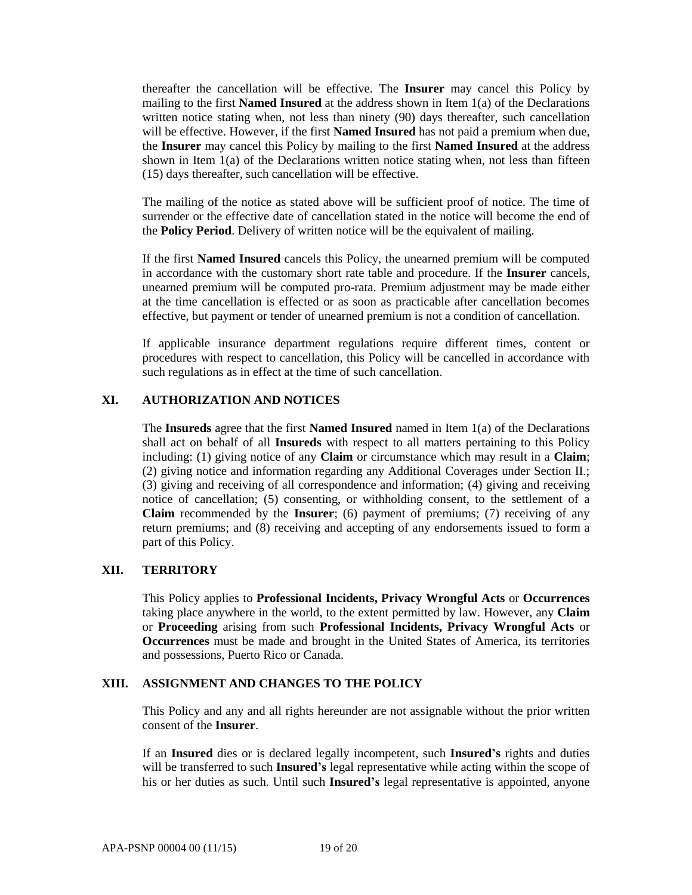thereafter the cancellation will be effective. The **Insurer** may cancel this Policy by mailing to the first **Named Insured** at the address shown in Item 1(a) of the Declarations written notice stating when, not less than ninety (90) days thereafter, such cancellation will be effective. However, if the first **Named Insured** has not paid a premium when due, the **Insurer** may cancel this Policy by mailing to the first **Named Insured** at the address shown in Item 1(a) of the Declarations written notice stating when, not less than fifteen (15) days thereafter, such cancellation will be effective.

The mailing of the notice as stated above will be sufficient proof of notice. The time of surrender or the effective date of cancellation stated in the notice will become the end of the **Policy Period**. Delivery of written notice will be the equivalent of mailing.

If the first **Named Insured** cancels this Policy, the unearned premium will be computed in accordance with the customary short rate table and procedure. If the **Insurer** cancels, unearned premium will be computed pro-rata. Premium adjustment may be made either at the time cancellation is effected or as soon as practicable after cancellation becomes effective, but payment or tender of unearned premium is not a condition of cancellation.

If applicable insurance department regulations require different times, content or procedures with respect to cancellation, this Policy will be cancelled in accordance with such regulations as in effect at the time of such cancellation.

### **XI. AUTHORIZATION AND NOTICES**

The **Insureds** agree that the first **Named Insured** named in Item 1(a) of the Declarations shall act on behalf of all **Insureds** with respect to all matters pertaining to this Policy including: (1) giving notice of any **Claim** or circumstance which may result in a **Claim**; (2) giving notice and information regarding any Additional Coverages under Section II.; (3) giving and receiving of all correspondence and information; (4) giving and receiving notice of cancellation; (5) consenting, or withholding consent, to the settlement of a **Claim** recommended by the **Insurer**; (6) payment of premiums; (7) receiving of any return premiums; and (8) receiving and accepting of any endorsements issued to form a part of this Policy.

### **XII. TERRITORY**

This Policy applies to **Professional Incidents, Privacy Wrongful Acts** or **Occurrences** taking place anywhere in the world, to the extent permitted by law. However, any **Claim**  or **Proceeding** arising from such **Professional Incidents, Privacy Wrongful Acts** or **Occurrences** must be made and brought in the United States of America, its territories and possessions, Puerto Rico or Canada.

### **XIII. ASSIGNMENT AND CHANGES TO THE POLICY**

This Policy and any and all rights hereunder are not assignable without the prior written consent of the **Insurer**.

If an **Insured** dies or is declared legally incompetent, such **Insured's** rights and duties will be transferred to such **Insured's** legal representative while acting within the scope of his or her duties as such. Until such **Insured's** legal representative is appointed, anyone